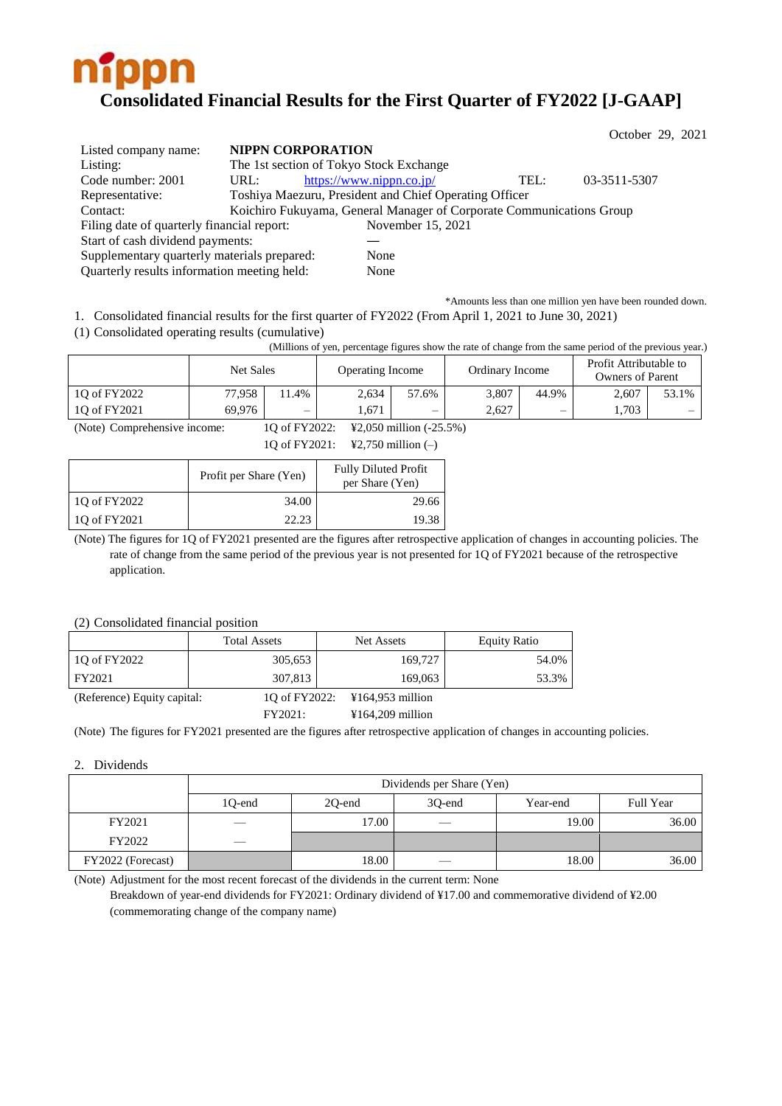

|                                             |      |                                                                      |      | October 29, 2021 |
|---------------------------------------------|------|----------------------------------------------------------------------|------|------------------|
| Listed company name:                        |      | <b>NIPPN CORPORATION</b>                                             |      |                  |
| Listing:                                    |      | The 1st section of Tokyo Stock Exchange                              |      |                  |
| Code number: 2001                           | URL: | https://www.nippn.co.jp/                                             | TEL: | 03-3511-5307     |
| Representative:                             |      | Toshiya Maezuru, President and Chief Operating Officer               |      |                  |
| Contact:                                    |      | Koichiro Fukuyama, General Manager of Corporate Communications Group |      |                  |
| Filing date of quarterly financial report:  |      | November 15, 2021                                                    |      |                  |
| Start of cash dividend payments:            |      |                                                                      |      |                  |
| Supplementary quarterly materials prepared: |      | None                                                                 |      |                  |
| Quarterly results information meeting held: |      | None                                                                 |      |                  |

\*Amounts less than one million yen have been rounded down. 1. Consolidated financial results for the first quarter of FY2022 (From April 1, 2021 to June 30, 2021)

(1) Consolidated operating results (cumulative)

(Millions of yen, percentage figures show the rate of change from the same period of the previous year.)

|              | Net Sales |      | <b>Operating Income</b> |       | Ordinary Income |                          | Profit Attributable to<br><b>Owners of Parent</b> |       |
|--------------|-----------|------|-------------------------|-------|-----------------|--------------------------|---------------------------------------------------|-------|
| 10 of FY2022 | 77.958    | 1.4% | 2.634                   | 57.6% | 3.807           | 44.9%                    | 2,607                                             | 53.1% |
| 10 of FY2021 | 69,976    | —    | .671                    | —     | 2.627           | $\overline{\phantom{0}}$ | .703                                              | —     |

(Note) Comprehensive income: 1Q of FY2022: ¥2,050 million (-25.5%)

1Q of FY2021: ¥2,750 million (–)

|              | Profit per Share (Yen) | <b>Fully Diluted Profit</b><br>per Share (Yen) |
|--------------|------------------------|------------------------------------------------|
| 1Q of FY2022 | 34.00                  | 29.66                                          |
| 1Q of FY2021 | 22.23                  | 19.38                                          |

(Note) The figures for 1Q of FY2021 presented are the figures after retrospective application of changes in accounting policies. The rate of change from the same period of the previous year is not presented for 1Q of FY2021 because of the retrospective application.

## (2) Consolidated financial position

|                             | <b>Total Assets</b>                                       | Net Assets                     | Equity Ratio |
|-----------------------------|-----------------------------------------------------------|--------------------------------|--------------|
| 10 of FY2022                | 305,653                                                   | 169,727                        | 54.0%        |
| FY2021                      | 307.813                                                   | 169,063                        | 53.3%        |
| (Reference) Equity capital: |                                                           | 10 of FY2022: ¥164,953 million |              |
|                             | $\Gamma$ $\Gamma$ $\Lambda$ $\Lambda$ $\Lambda$ $\Lambda$ | $371 \times 4.000$ $11'$       |              |

FY2021: ¥164,209 million

(Note) The figures for FY2021 presented are the figures after retrospective application of changes in accounting policies.

### 2. Dividends

|                   | Dividends per Share (Yen) |        |                          |          |           |  |
|-------------------|---------------------------|--------|--------------------------|----------|-----------|--|
|                   | 1Q-end                    | 20-end | 30-end                   | Year-end | Full Year |  |
| FY2021            |                           | 17.00  |                          | 19.00    | 36.00     |  |
| FY2022            |                           |        |                          |          |           |  |
| FY2022 (Forecast) |                           | 18.00  | $\overline{\phantom{a}}$ | 18.00    | 36.00     |  |

(Note) Adjustment for the most recent forecast of the dividends in the current term: None

Breakdown of year-end dividends for FY2021: Ordinary dividend of ¥17.00 and commemorative dividend of ¥2.00 (commemorating change of the company name)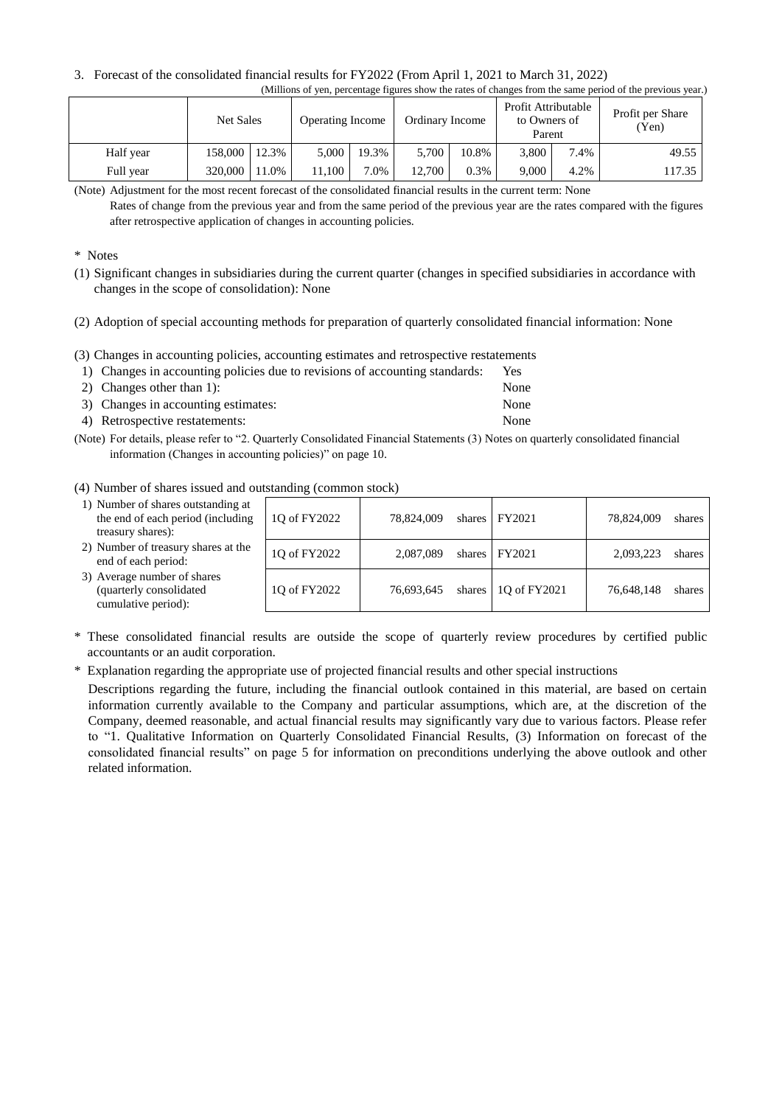#### 3. Forecast of the consolidated financial results for FY2022 (From April 1, 2021 to March 31, 2022) (Millions of yen, percentage figures show the rates of changes from the same period of the previous year.)

|           | <b>Net Sales</b> |      | <b>Operating Income</b> |       | Ordinary Income |         | Profit Attributable<br>to Owners of<br>Parent |      | Profit per Share<br>(Yen) |
|-----------|------------------|------|-------------------------|-------|-----------------|---------|-----------------------------------------------|------|---------------------------|
| Half year | 158,000 12.3%    |      | 5.000                   | 19.3% | 5,700           | 10.8%   | 3.800                                         | 7.4% | 49.55                     |
| Full year | 320,000          | 1.0% | 11.100                  | 7.0%  | 12.700          | $0.3\%$ | 9,000                                         | 4.2% | 117.35                    |

(Note) Adjustment for the most recent forecast of the consolidated financial results in the current term: None

Rates of change from the previous year and from the same period of the previous year are the rates compared with the figures after retrospective application of changes in accounting policies.

\* Notes

(1) Significant changes in subsidiaries during the current quarter (changes in specified subsidiaries in accordance with changes in the scope of consolidation): None

### (2) Adoption of special accounting methods for preparation of quarterly consolidated financial information: None

(3) Changes in accounting policies, accounting estimates and retrospective restatements

| 1) Changes in accounting policies due to revisions of accounting standards: | Yes.                          |
|-----------------------------------------------------------------------------|-------------------------------|
| 2) Changes other than 1:                                                    | None                          |
| $\mathcal{D}$ . Channels in account on estimates.                           | $\mathbf{M}$ and $\mathbf{M}$ |

| 3) Changes in accounting estimates: | None |
|-------------------------------------|------|
| 4) Retrospective restatements:      | None |

(Note) For details, please refer to "2. Quarterly Consolidated Financial Statements (3) Notes on quarterly consolidated financial information (Changes in accounting policies)" on page 10.

## (4) Number of shares issued and outstanding (common stock)

1) Number of shares outstanding at the end of each period (including

| the end of each period (including<br>treasury shares):                        | 10 of FY2022 | 78.824.009 | shares FY2021               | 78.824,009 | shares |
|-------------------------------------------------------------------------------|--------------|------------|-----------------------------|------------|--------|
| 2) Number of treasury shares at the<br>end of each period:                    | 1Q of FY2022 | 2,087,089  | shares FY2021               | 2,093,223  | shares |
| 3) Average number of shares<br>(quarterly consolidated<br>cumulative period): | 10 of FY2022 | 76,693,645 | shares $\vert$ 10 of FY2021 | 76.648.148 | shares |

\* These consolidated financial results are outside the scope of quarterly review procedures by certified public accountants or an audit corporation.

\* Explanation regarding the appropriate use of projected financial results and other special instructions

Descriptions regarding the future, including the financial outlook contained in this material, are based on certain information currently available to the Company and particular assumptions, which are, at the discretion of the Company, deemed reasonable, and actual financial results may significantly vary due to various factors. Please refer to "1. Qualitative Information on Quarterly Consolidated Financial Results, (3) Information on forecast of the consolidated financial results" on page 5 for information on preconditions underlying the above outlook and other related information.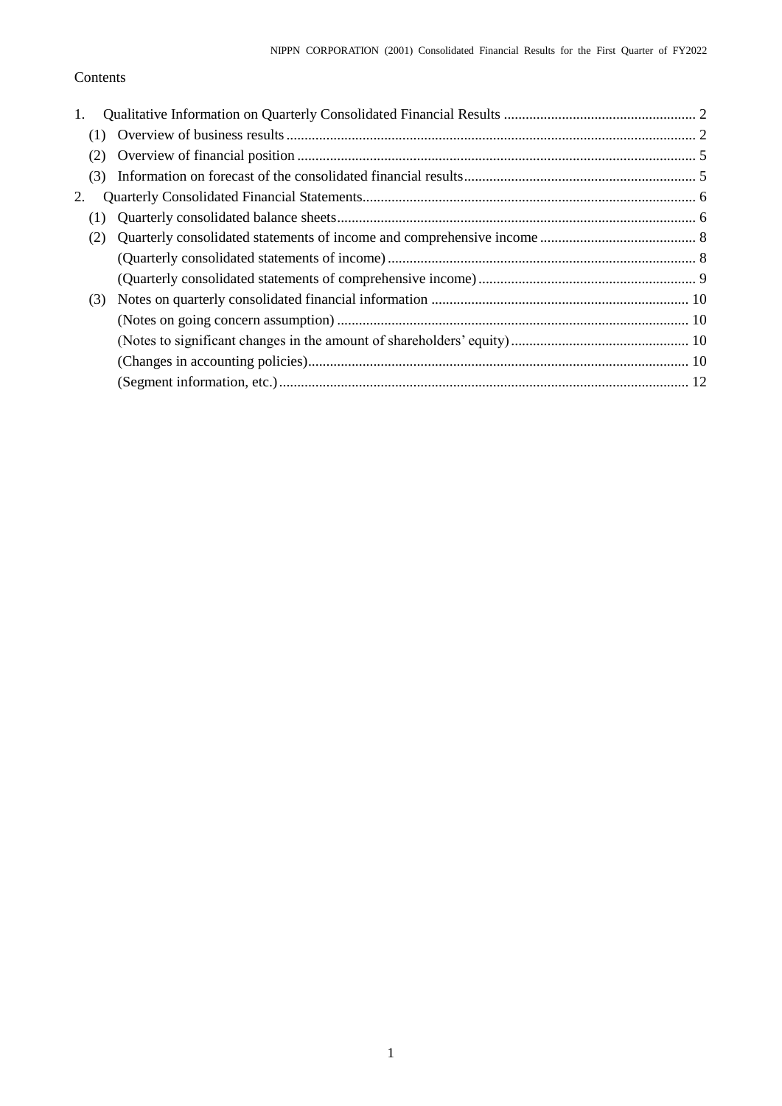# Contents

| 1.  |  |
|-----|--|
| (1) |  |
| (2) |  |
| (3) |  |
| 2.  |  |
| (1) |  |
| (2) |  |
|     |  |
|     |  |
| (3) |  |
|     |  |
|     |  |
|     |  |
|     |  |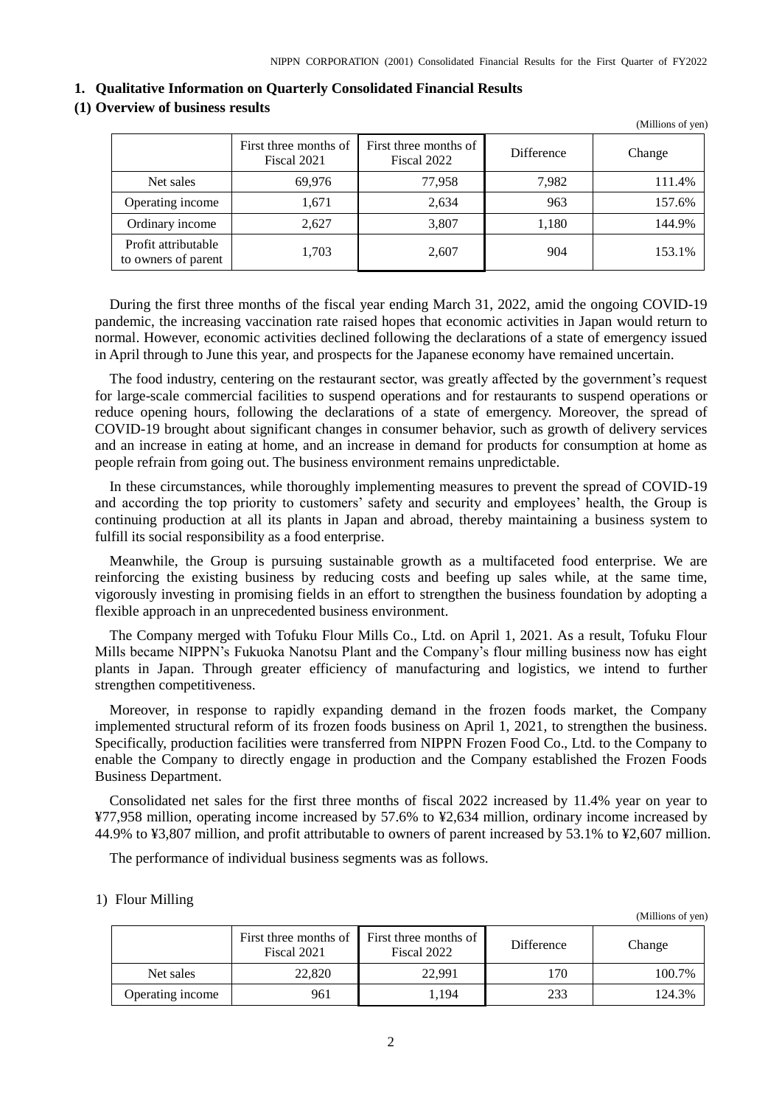<span id="page-3-0"></span>

| 1. Qualitative Information on Quarterly Consolidated Financial Results |
|------------------------------------------------------------------------|
|------------------------------------------------------------------------|

## <span id="page-3-1"></span>**(1) Overview of business results**

|                                            |                                      |                                      |            | (Millions of yen) |
|--------------------------------------------|--------------------------------------|--------------------------------------|------------|-------------------|
|                                            | First three months of<br>Fiscal 2021 | First three months of<br>Fiscal 2022 | Difference | Change            |
| Net sales                                  | 69.976                               | 77.958                               | 7,982      | 111.4%            |
| Operating income                           | 1,671                                | 2,634                                | 963        | 157.6%            |
| Ordinary income                            | 2,627                                | 3,807                                | 1,180      | 144.9%            |
| Profit attributable<br>to owners of parent | 1,703                                | 2,607                                | 904        | 153.1%            |

During the first three months of the fiscal year ending March 31, 2022, amid the ongoing COVID-19 pandemic, the increasing vaccination rate raised hopes that economic activities in Japan would return to normal. However, economic activities declined following the declarations of a state of emergency issued in April through to June this year, and prospects for the Japanese economy have remained uncertain.

The food industry, centering on the restaurant sector, was greatly affected by the government's request for large-scale commercial facilities to suspend operations and for restaurants to suspend operations or reduce opening hours, following the declarations of a state of emergency. Moreover, the spread of COVID-19 brought about significant changes in consumer behavior, such as growth of delivery services and an increase in eating at home, and an increase in demand for products for consumption at home as people refrain from going out. The business environment remains unpredictable.

In these circumstances, while thoroughly implementing measures to prevent the spread of COVID-19 and according the top priority to customers' safety and security and employees' health, the Group is continuing production at all its plants in Japan and abroad, thereby maintaining a business system to fulfill its social responsibility as a food enterprise.

Meanwhile, the Group is pursuing sustainable growth as a multifaceted food enterprise. We are reinforcing the existing business by reducing costs and beefing up sales while, at the same time, vigorously investing in promising fields in an effort to strengthen the business foundation by adopting a flexible approach in an unprecedented business environment.

The Company merged with Tofuku Flour Mills Co., Ltd. on April 1, 2021. As a result, Tofuku Flour Mills became NIPPN's Fukuoka Nanotsu Plant and the Company's flour milling business now has eight plants in Japan. Through greater efficiency of manufacturing and logistics, we intend to further strengthen competitiveness.

Moreover, in response to rapidly expanding demand in the frozen foods market, the Company implemented structural reform of its frozen foods business on April 1, 2021, to strengthen the business. Specifically, production facilities were transferred from NIPPN Frozen Food Co., Ltd. to the Company to enable the Company to directly engage in production and the Company established the Frozen Foods Business Department.

Consolidated net sales for the first three months of fiscal 2022 increased by 11.4% year on year to ¥77,958 million, operating income increased by 57.6% to ¥2,634 million, ordinary income increased by 44.9% to ¥3,807 million, and profit attributable to owners of parent increased by 53.1% to ¥2,607 million.

The performance of individual business segments was as follows.

### 1) Flour Milling

(Millions of yen)

|                  | First three months of<br>Fiscal 2021 | First three months of<br>Fiscal 2022 | Difference | Change |
|------------------|--------------------------------------|--------------------------------------|------------|--------|
| Net sales        | 22,820                               | 22.991                               | 170        | 100.7% |
| Operating income | 961                                  | . 194                                | 233        | 124.3% |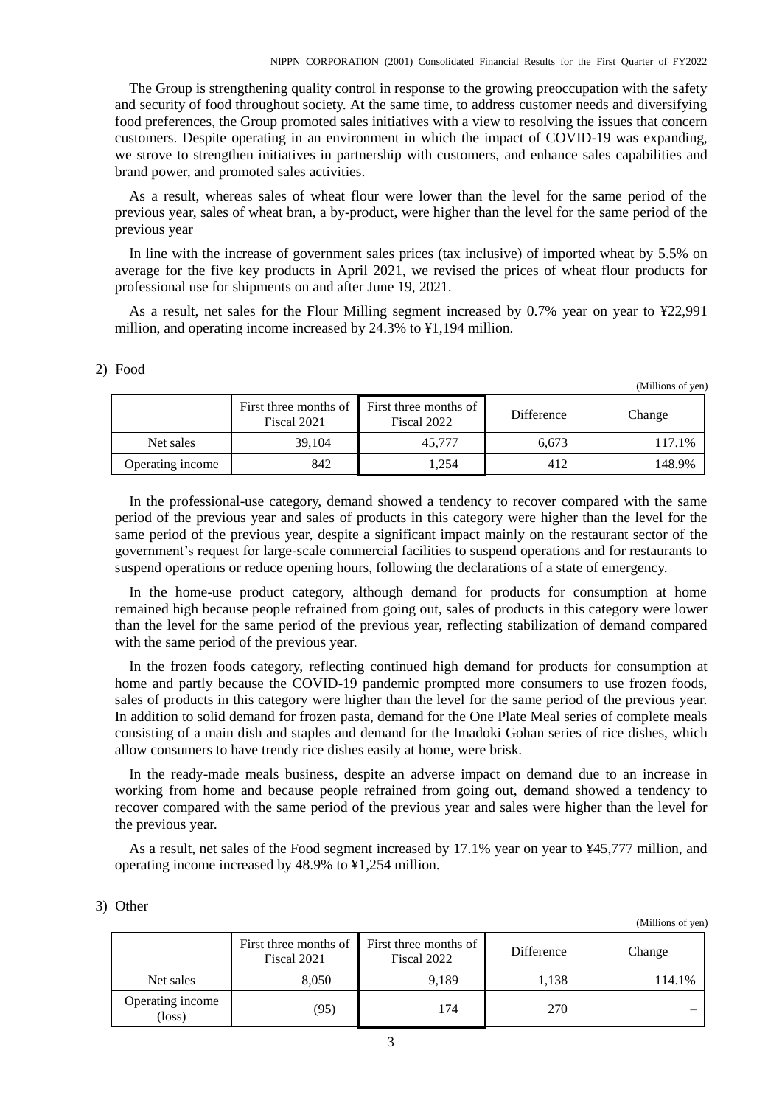The Group is strengthening quality control in response to the growing preoccupation with the safety and security of food throughout society. At the same time, to address customer needs and diversifying food preferences, the Group promoted sales initiatives with a view to resolving the issues that concern customers. Despite operating in an environment in which the impact of COVID-19 was expanding, we strove to strengthen initiatives in partnership with customers, and enhance sales capabilities and brand power, and promoted sales activities.

As a result, whereas sales of wheat flour were lower than the level for the same period of the previous year, sales of wheat bran, a by-product, were higher than the level for the same period of the previous year

In line with the increase of government sales prices (tax inclusive) of imported wheat by 5.5% on average for the five key products in April 2021, we revised the prices of wheat flour products for professional use for shipments on and after June 19, 2021.

As a result, net sales for the Flour Milling segment increased by 0.7% year on year to ¥22,991 million, and operating income increased by 24.3% to ¥1,194 million.

|                  | First three months of 1<br>Fiscal 2021 | First three months of<br>Fiscal 2022 | Difference | Change |
|------------------|----------------------------------------|--------------------------------------|------------|--------|
| Net sales        | 39.104                                 | 45,777                               | 6.673      | 117.1% |
| Operating income | 842                                    | 1.254                                | 412        | 148.9% |

In the professional-use category, demand showed a tendency to recover compared with the same period of the previous year and sales of products in this category were higher than the level for the same period of the previous year, despite a significant impact mainly on the restaurant sector of the government's request for large-scale commercial facilities to suspend operations and for restaurants to suspend operations or reduce opening hours, following the declarations of a state of emergency.

In the home-use product category, although demand for products for consumption at home remained high because people refrained from going out, sales of products in this category were lower than the level for the same period of the previous year, reflecting stabilization of demand compared with the same period of the previous year.

In the frozen foods category, reflecting continued high demand for products for consumption at home and partly because the COVID-19 pandemic prompted more consumers to use frozen foods, sales of products in this category were higher than the level for the same period of the previous year. In addition to solid demand for frozen pasta, demand for the One Plate Meal series of complete meals consisting of a main dish and staples and demand for the Imadoki Gohan series of rice dishes, which allow consumers to have trendy rice dishes easily at home, were brisk.

In the ready-made meals business, despite an adverse impact on demand due to an increase in working from home and because people refrained from going out, demand showed a tendency to recover compared with the same period of the previous year and sales were higher than the level for the previous year.

As a result, net sales of the Food segment increased by 17.1% year on year to ¥45,777 million, and operating income increased by 48.9% to ¥1,254 million.

(Millions of yen)

(Millions of yen)

|                            | First three months of<br>Fiscal 2021 | First three months of<br>Fiscal 2022 | Difference | Change |
|----------------------------|--------------------------------------|--------------------------------------|------------|--------|
| Net sales                  | 8,050                                | 9.189                                | 1,138      | 114.1% |
| Operating income<br>(loss) | (95)                                 | 174                                  | 270        |        |

#### 2) Food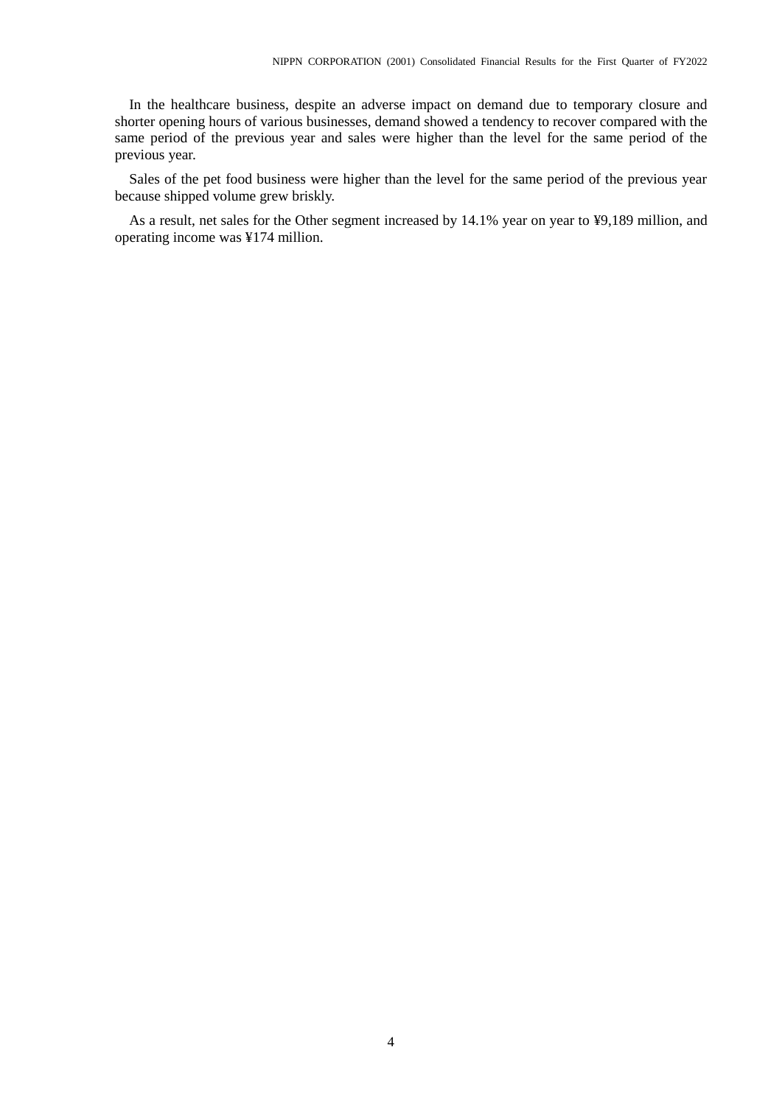In the healthcare business, despite an adverse impact on demand due to temporary closure and shorter opening hours of various businesses, demand showed a tendency to recover compared with the same period of the previous year and sales were higher than the level for the same period of the previous year.

Sales of the pet food business were higher than the level for the same period of the previous year because shipped volume grew briskly.

As a result, net sales for the Other segment increased by 14.1% year on year to ¥9,189 million, and operating income was ¥174 million.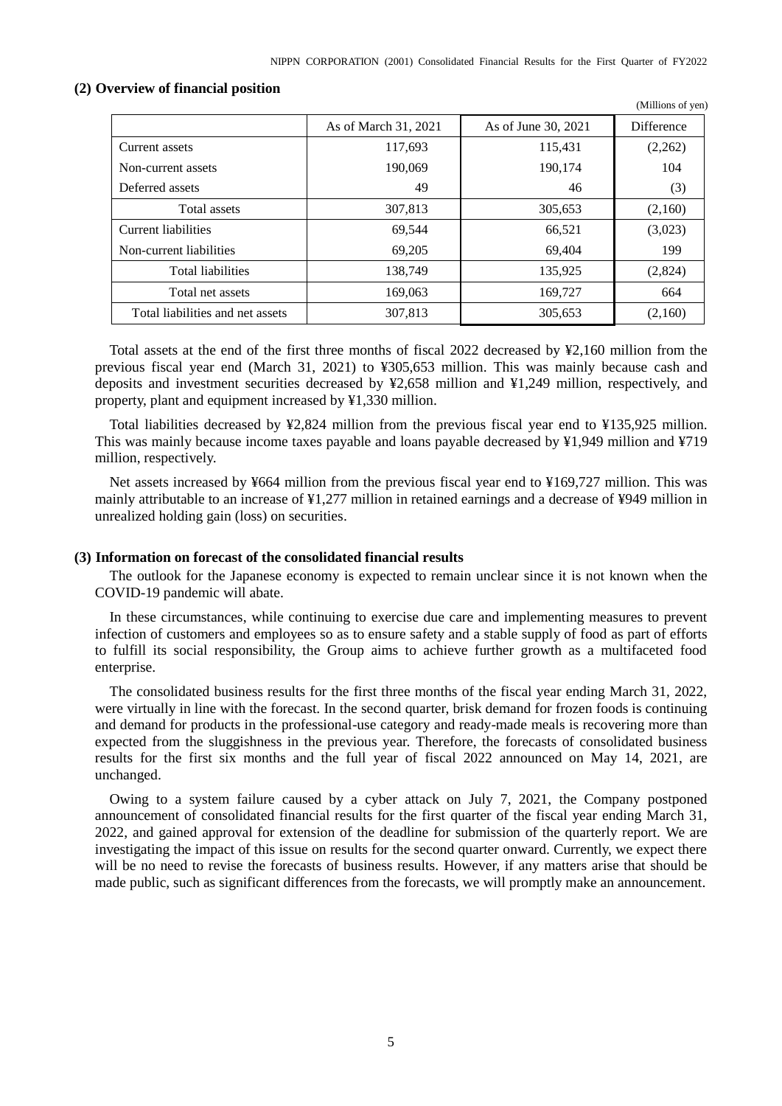(Millions of yen)

|                                  | As of March 31, 2021 | As of June 30, 2021 | Difference |
|----------------------------------|----------------------|---------------------|------------|
| Current assets                   | 117,693              | 115,431             | (2,262)    |
| Non-current assets               | 190,069              | 190,174             | 104        |
| Deferred assets                  | 49                   | 46                  | (3)        |
| Total assets                     | 307,813              | 305,653             | (2,160)    |
| Current liabilities              | 69,544               | 66,521              | (3,023)    |
| Non-current liabilities          | 69,205               | 69.404              | 199        |
| <b>Total liabilities</b>         | 138,749              | 135,925             | (2,824)    |
| Total net assets                 | 169,063              | 169,727             | 664        |
| Total liabilities and net assets | 307,813              | 305,653             | (2,160)    |

#### <span id="page-6-0"></span>**(2) Overview of financial position**

Total assets at the end of the first three months of fiscal 2022 decreased by ¥2,160 million from the previous fiscal year end (March 31, 2021) to ¥305,653 million. This was mainly because cash and deposits and investment securities decreased by ¥2,658 million and ¥1,249 million, respectively, and property, plant and equipment increased by ¥1,330 million.

Total liabilities decreased by ¥2,824 million from the previous fiscal year end to ¥135,925 million. This was mainly because income taxes payable and loans payable decreased by ¥1,949 million and ¥719 million, respectively.

Net assets increased by ¥664 million from the previous fiscal year end to ¥169,727 million. This was mainly attributable to an increase of ¥1,277 million in retained earnings and a decrease of ¥949 million in unrealized holding gain (loss) on securities.

## <span id="page-6-1"></span>**(3) Information on forecast of the consolidated financial results**

The outlook for the Japanese economy is expected to remain unclear since it is not known when the COVID-19 pandemic will abate.

In these circumstances, while continuing to exercise due care and implementing measures to prevent infection of customers and employees so as to ensure safety and a stable supply of food as part of efforts to fulfill its social responsibility, the Group aims to achieve further growth as a multifaceted food enterprise.

The consolidated business results for the first three months of the fiscal year ending March 31, 2022, were virtually in line with the forecast. In the second quarter, brisk demand for frozen foods is continuing and demand for products in the professional-use category and ready-made meals is recovering more than expected from the sluggishness in the previous year. Therefore, the forecasts of consolidated business results for the first six months and the full year of fiscal 2022 announced on May 14, 2021, are unchanged.

Owing to a system failure caused by a cyber attack on July 7, 2021, the Company postponed announcement of consolidated financial results for the first quarter of the fiscal year ending March 31, 2022, and gained approval for extension of the deadline for submission of the quarterly report. We are investigating the impact of this issue on results for the second quarter onward. Currently, we expect there will be no need to revise the forecasts of business results. However, if any matters arise that should be made public, such as significant differences from the forecasts, we will promptly make an announcement.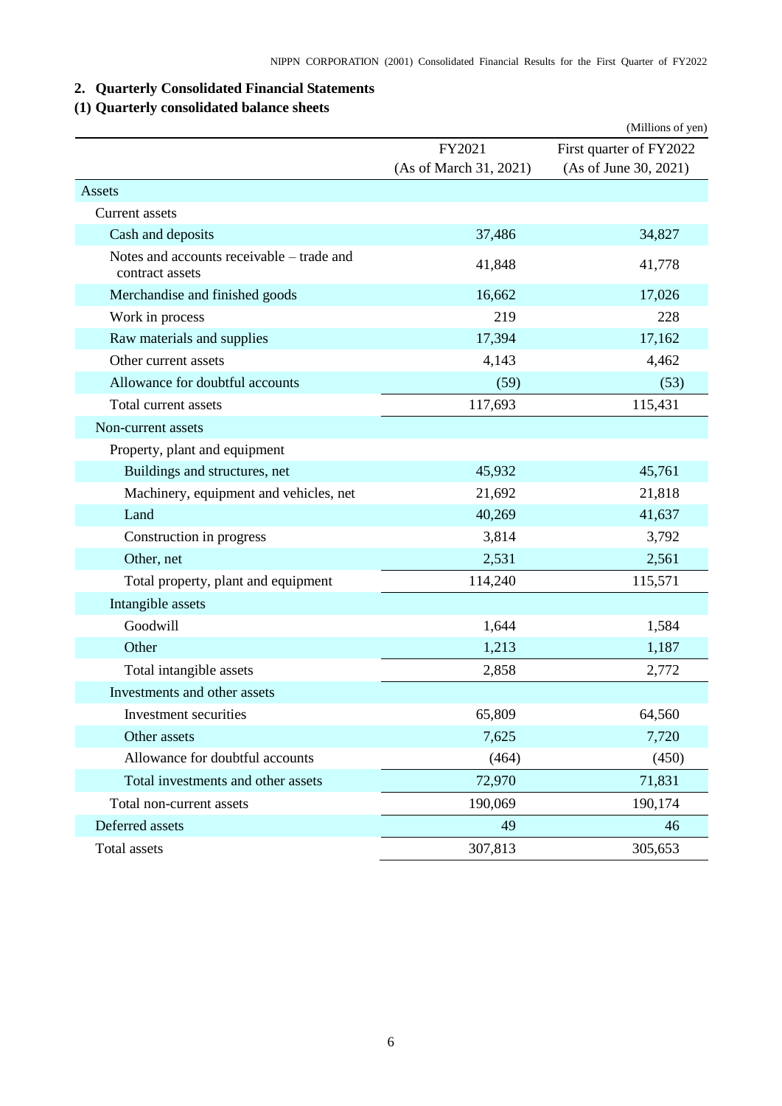# <span id="page-7-0"></span>**2. Quarterly Consolidated Financial Statements**

# <span id="page-7-1"></span>**(1) Quarterly consolidated balance sheets**

|                                                              |                        | (Millions of yen)       |
|--------------------------------------------------------------|------------------------|-------------------------|
|                                                              | FY2021                 | First quarter of FY2022 |
|                                                              | (As of March 31, 2021) | (As of June 30, 2021)   |
| Assets                                                       |                        |                         |
| Current assets                                               |                        |                         |
| Cash and deposits                                            | 37,486                 | 34,827                  |
| Notes and accounts receivable – trade and<br>contract assets | 41,848                 | 41,778                  |
| Merchandise and finished goods                               | 16,662                 | 17,026                  |
| Work in process                                              | 219                    | 228                     |
| Raw materials and supplies                                   | 17,394                 | 17,162                  |
| Other current assets                                         | 4,143                  | 4,462                   |
| Allowance for doubtful accounts                              | (59)                   | (53)                    |
| Total current assets                                         | 117,693                | 115,431                 |
| Non-current assets                                           |                        |                         |
| Property, plant and equipment                                |                        |                         |
| Buildings and structures, net                                | 45,932                 | 45,761                  |
| Machinery, equipment and vehicles, net                       | 21,692                 | 21,818                  |
| Land                                                         | 40,269                 | 41,637                  |
| Construction in progress                                     | 3,814                  | 3,792                   |
| Other, net                                                   | 2,531                  | 2,561                   |
| Total property, plant and equipment                          | 114,240                | 115,571                 |
| Intangible assets                                            |                        |                         |
| Goodwill                                                     | 1,644                  | 1,584                   |
| Other                                                        | 1,213                  | 1,187                   |
| Total intangible assets                                      | 2,858                  | 2,772                   |
| Investments and other assets                                 |                        |                         |
| Investment securities                                        | 65,809                 | 64,560                  |
| Other assets                                                 | 7,625                  | 7,720                   |
| Allowance for doubtful accounts                              | (464)                  | (450)                   |
| Total investments and other assets                           | 72,970                 | 71,831                  |
| Total non-current assets                                     | 190,069                | 190,174                 |
| Deferred assets                                              | 49                     | 46                      |
| Total assets                                                 | 307,813                | 305,653                 |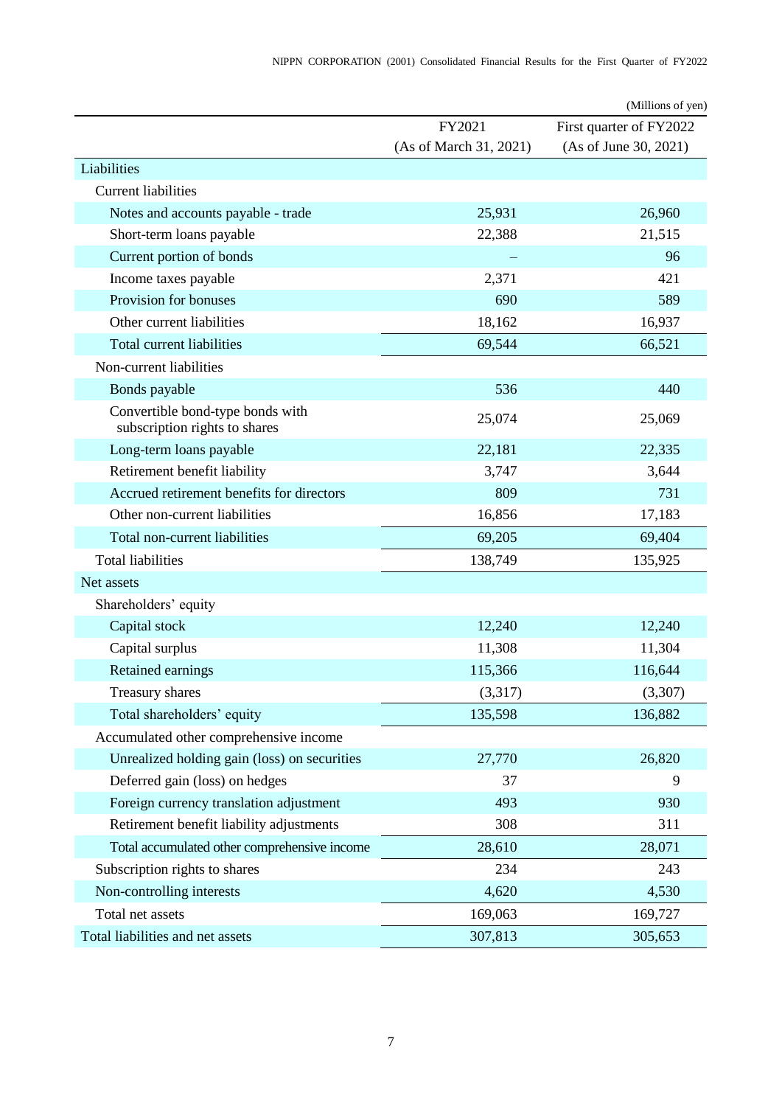|                                                                   |                        | (Millions of yen)       |
|-------------------------------------------------------------------|------------------------|-------------------------|
|                                                                   | FY2021                 | First quarter of FY2022 |
|                                                                   | (As of March 31, 2021) | (As of June 30, 2021)   |
| Liabilities                                                       |                        |                         |
| <b>Current liabilities</b>                                        |                        |                         |
| Notes and accounts payable - trade                                | 25,931                 | 26,960                  |
| Short-term loans payable                                          | 22,388                 | 21,515                  |
| Current portion of bonds                                          |                        | 96                      |
| Income taxes payable                                              | 2,371                  | 421                     |
| Provision for bonuses                                             | 690                    | 589                     |
| Other current liabilities                                         | 18,162                 | 16,937                  |
| Total current liabilities                                         | 69,544                 | 66,521                  |
| Non-current liabilities                                           |                        |                         |
| Bonds payable                                                     | 536                    | 440                     |
| Convertible bond-type bonds with<br>subscription rights to shares | 25,074                 | 25,069                  |
| Long-term loans payable                                           | 22,181                 | 22,335                  |
| Retirement benefit liability                                      | 3,747                  | 3,644                   |
| Accrued retirement benefits for directors                         | 809                    | 731                     |
| Other non-current liabilities                                     | 16,856                 | 17,183                  |
| Total non-current liabilities                                     | 69,205                 | 69,404                  |
| <b>Total liabilities</b>                                          | 138,749                | 135,925                 |
| Net assets                                                        |                        |                         |
| Shareholders' equity                                              |                        |                         |
| Capital stock                                                     | 12,240                 | 12,240                  |
| Capital surplus                                                   | 11,308                 | 11,304                  |
| Retained earnings                                                 | 115,366                | 116,644                 |
| Treasury shares                                                   | (3,317)                | (3,307)                 |
| Total shareholders' equity                                        | 135,598                | 136,882                 |
| Accumulated other comprehensive income                            |                        |                         |
| Unrealized holding gain (loss) on securities                      | 27,770                 | 26,820                  |
| Deferred gain (loss) on hedges                                    | 37                     | 9                       |
| Foreign currency translation adjustment                           | 493                    | 930                     |
| Retirement benefit liability adjustments                          | 308                    | 311                     |
| Total accumulated other comprehensive income                      | 28,610                 | 28,071                  |
| Subscription rights to shares                                     | 234                    | 243                     |
| Non-controlling interests                                         | 4,620                  | 4,530                   |
| Total net assets                                                  | 169,063                | 169,727                 |
| Total liabilities and net assets                                  | 307,813                | 305,653                 |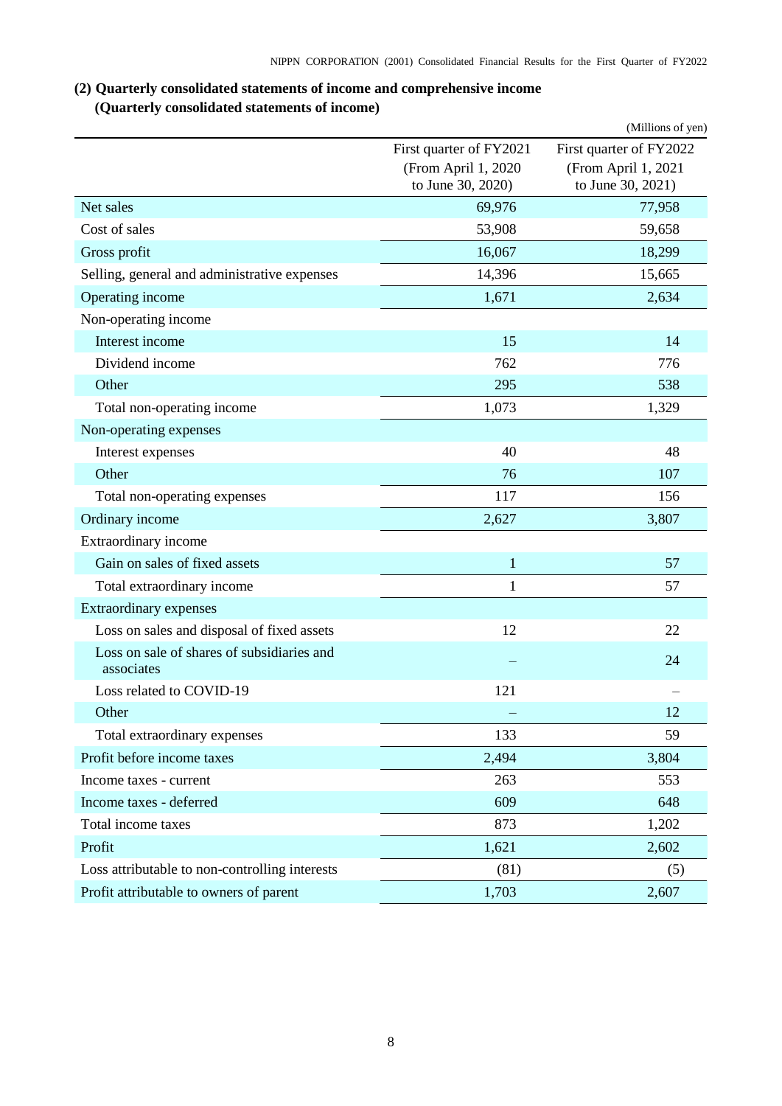# <span id="page-9-0"></span>**(2) Quarterly consolidated statements of income and comprehensive income (Quarterly consolidated statements of income)**

<span id="page-9-1"></span>

|                                                          |                                          | (Millions of yen)                        |
|----------------------------------------------------------|------------------------------------------|------------------------------------------|
|                                                          | First quarter of FY2021                  | First quarter of FY2022                  |
|                                                          | (From April 1, 2020<br>to June 30, 2020) | (From April 1, 2021<br>to June 30, 2021) |
| Net sales                                                | 69,976                                   | 77,958                                   |
| Cost of sales                                            | 53,908                                   | 59,658                                   |
| Gross profit                                             | 16,067                                   | 18,299                                   |
| Selling, general and administrative expenses             | 14,396                                   | 15,665                                   |
| Operating income                                         | 1,671                                    | 2,634                                    |
| Non-operating income                                     |                                          |                                          |
| Interest income                                          | 15                                       | 14                                       |
| Dividend income                                          | 762                                      | 776                                      |
| Other                                                    | 295                                      | 538                                      |
| Total non-operating income                               | 1,073                                    | 1,329                                    |
| Non-operating expenses                                   |                                          |                                          |
| Interest expenses                                        | 40                                       | 48                                       |
| Other                                                    | 76                                       | 107                                      |
| Total non-operating expenses                             | 117                                      | 156                                      |
| Ordinary income                                          | 2,627                                    | 3,807                                    |
| Extraordinary income                                     |                                          |                                          |
| Gain on sales of fixed assets                            | $\mathbf{1}$                             | 57                                       |
| Total extraordinary income                               | $\mathbf{1}$                             | 57                                       |
| Extraordinary expenses                                   |                                          |                                          |
| Loss on sales and disposal of fixed assets               | 12                                       | 22                                       |
| Loss on sale of shares of subsidiaries and<br>associates |                                          | 24                                       |
| Loss related to COVID-19                                 | 121                                      |                                          |
| Other                                                    |                                          | 12                                       |
| Total extraordinary expenses                             | 133                                      | 59                                       |
| Profit before income taxes                               | 2,494                                    | 3,804                                    |
| Income taxes - current                                   | 263                                      | 553                                      |
| Income taxes - deferred                                  | 609                                      | 648                                      |
| Total income taxes                                       | 873                                      | 1,202                                    |
| Profit                                                   | 1,621                                    | 2,602                                    |
| Loss attributable to non-controlling interests           | (81)                                     | (5)                                      |
| Profit attributable to owners of parent                  | 1,703                                    | 2,607                                    |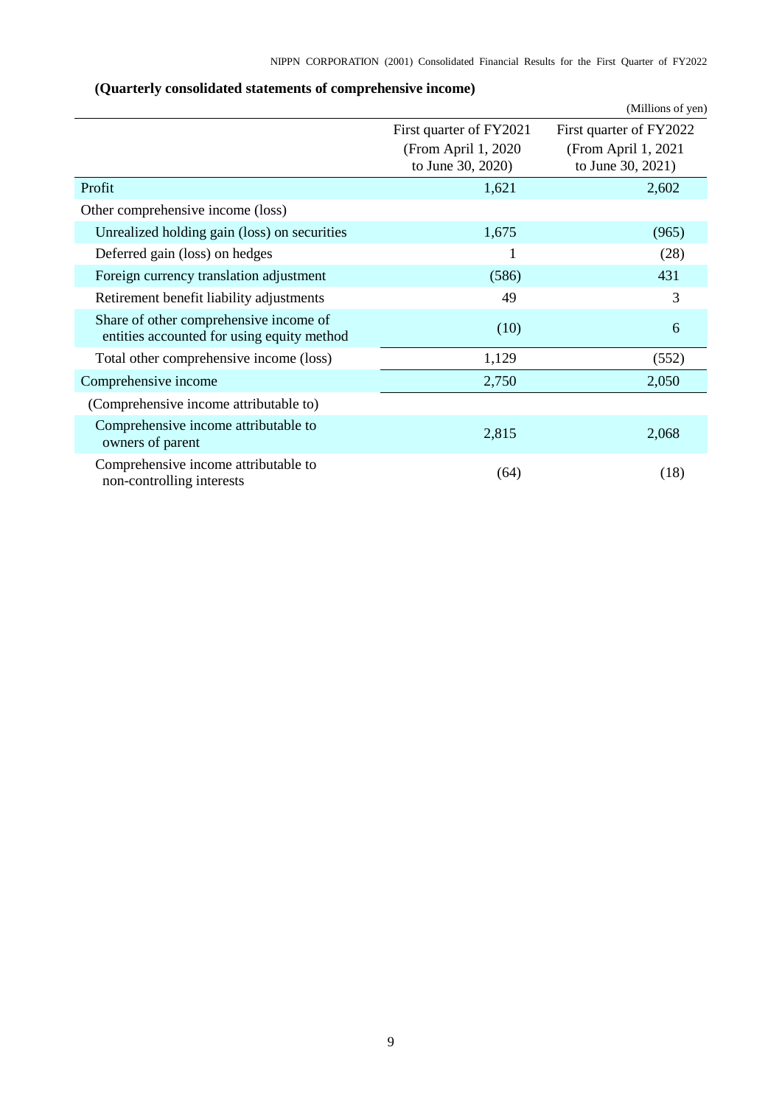<span id="page-10-0"></span>

|                                                                                      |                                          | (Millions of yen)                        |
|--------------------------------------------------------------------------------------|------------------------------------------|------------------------------------------|
|                                                                                      | First quarter of FY2021                  | First quarter of FY2022                  |
|                                                                                      | (From April 1, 2020<br>to June 30, 2020) | (From April 1, 2021<br>to June 30, 2021) |
| Profit                                                                               | 1,621                                    | 2,602                                    |
| Other comprehensive income (loss)                                                    |                                          |                                          |
| Unrealized holding gain (loss) on securities                                         | 1,675                                    | (965)                                    |
| Deferred gain (loss) on hedges                                                       | 1                                        | (28)                                     |
| Foreign currency translation adjustment                                              | (586)                                    | 431                                      |
| Retirement benefit liability adjustments                                             | 49                                       | 3                                        |
| Share of other comprehensive income of<br>entities accounted for using equity method | (10)                                     | 6                                        |
| Total other comprehensive income (loss)                                              | 1,129                                    | (552)                                    |
| Comprehensive income                                                                 | 2,750                                    | 2,050                                    |
| (Comprehensive income attributable to)                                               |                                          |                                          |
| Comprehensive income attributable to<br>owners of parent                             | 2,815                                    | 2,068                                    |
| Comprehensive income attributable to<br>non-controlling interests                    | (64)                                     | (18)                                     |

# **(Quarterly consolidated statements of comprehensive income)**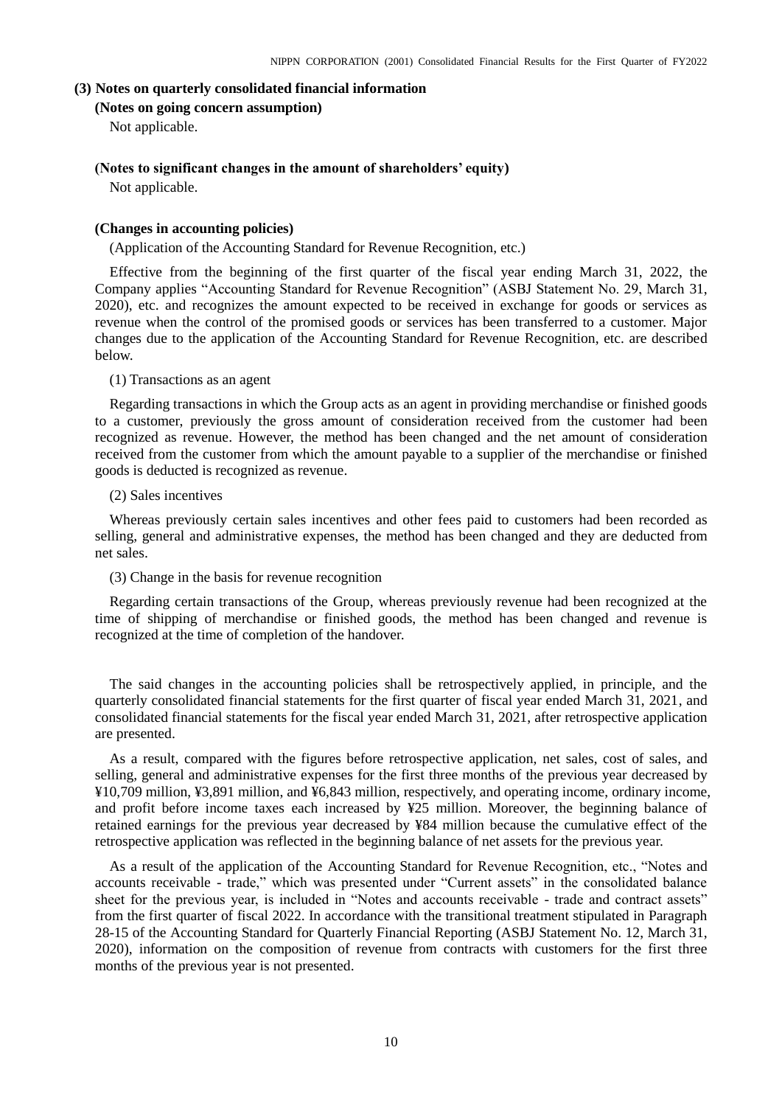### <span id="page-11-1"></span><span id="page-11-0"></span>**(3) Notes on quarterly consolidated financial information**

## **(Notes on going concern assumption)**

Not applicable.

## <span id="page-11-2"></span>**(Notes to significant changes in the amount of shareholders' equity)**

Not applicable.

### <span id="page-11-3"></span>**(Changes in accounting policies)**

(Application of the Accounting Standard for Revenue Recognition, etc.)

Effective from the beginning of the first quarter of the fiscal year ending March 31, 2022, the Company applies "Accounting Standard for Revenue Recognition" (ASBJ Statement No. 29, March 31, 2020), etc. and recognizes the amount expected to be received in exchange for goods or services as revenue when the control of the promised goods or services has been transferred to a customer. Major changes due to the application of the Accounting Standard for Revenue Recognition, etc. are described below.

### (1) Transactions as an agent

Regarding transactions in which the Group acts as an agent in providing merchandise or finished goods to a customer, previously the gross amount of consideration received from the customer had been recognized as revenue. However, the method has been changed and the net amount of consideration received from the customer from which the amount payable to a supplier of the merchandise or finished goods is deducted is recognized as revenue.

### (2) Sales incentives

Whereas previously certain sales incentives and other fees paid to customers had been recorded as selling, general and administrative expenses, the method has been changed and they are deducted from net sales.

### (3) Change in the basis for revenue recognition

Regarding certain transactions of the Group, whereas previously revenue had been recognized at the time of shipping of merchandise or finished goods, the method has been changed and revenue is recognized at the time of completion of the handover.

The said changes in the accounting policies shall be retrospectively applied, in principle, and the quarterly consolidated financial statements for the first quarter of fiscal year ended March 31, 2021, and consolidated financial statements for the fiscal year ended March 31, 2021, after retrospective application are presented.

As a result, compared with the figures before retrospective application, net sales, cost of sales, and selling, general and administrative expenses for the first three months of the previous year decreased by ¥10,709 million, ¥3,891 million, and ¥6,843 million, respectively, and operating income, ordinary income, and profit before income taxes each increased by ¥25 million. Moreover, the beginning balance of retained earnings for the previous year decreased by ¥84 million because the cumulative effect of the retrospective application was reflected in the beginning balance of net assets for the previous year.

As a result of the application of the Accounting Standard for Revenue Recognition, etc., "Notes and accounts receivable - trade," which was presented under "Current assets" in the consolidated balance sheet for the previous year, is included in "Notes and accounts receivable - trade and contract assets" from the first quarter of fiscal 2022. In accordance with the transitional treatment stipulated in Paragraph 28-15 of the Accounting Standard for Quarterly Financial Reporting (ASBJ Statement No. 12, March 31, 2020), information on the composition of revenue from contracts with customers for the first three months of the previous year is not presented.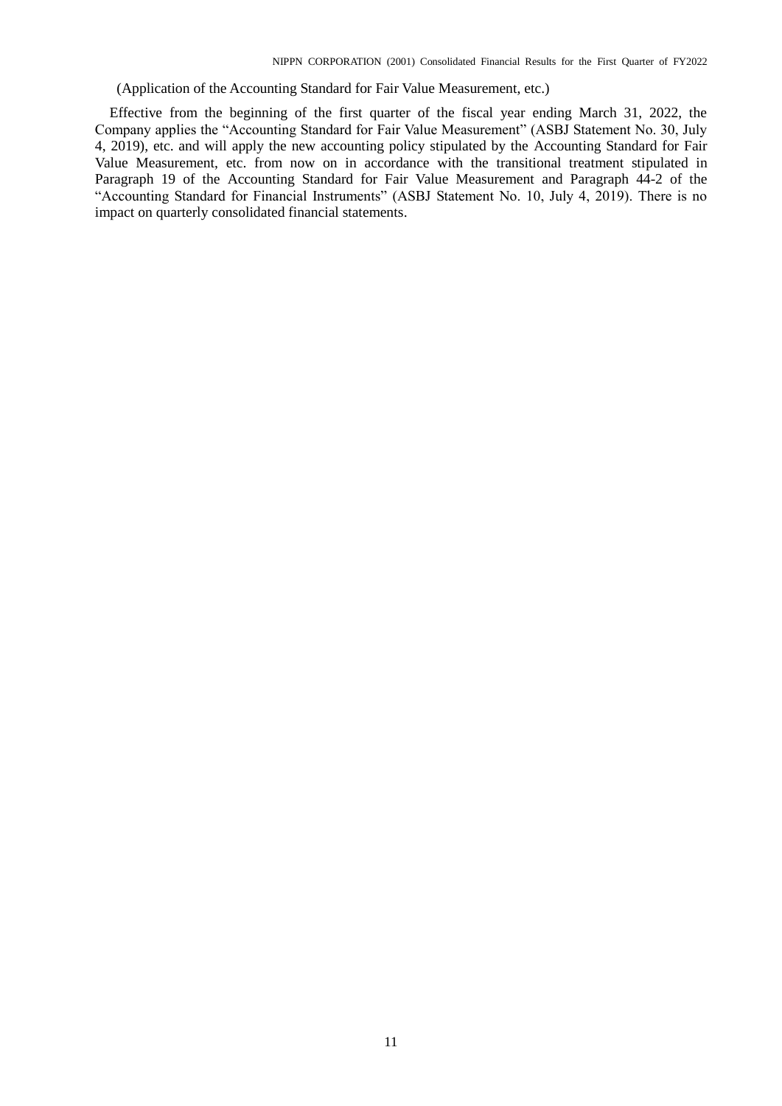(Application of the Accounting Standard for Fair Value Measurement, etc.)

Effective from the beginning of the first quarter of the fiscal year ending March 31, 2022, the Company applies the "Accounting Standard for Fair Value Measurement" (ASBJ Statement No. 30, July 4, 2019), etc. and will apply the new accounting policy stipulated by the Accounting Standard for Fair Value Measurement, etc. from now on in accordance with the transitional treatment stipulated in Paragraph 19 of the Accounting Standard for Fair Value Measurement and Paragraph 44-2 of the "Accounting Standard for Financial Instruments" (ASBJ Statement No. 10, July 4, 2019). There is no impact on quarterly consolidated financial statements.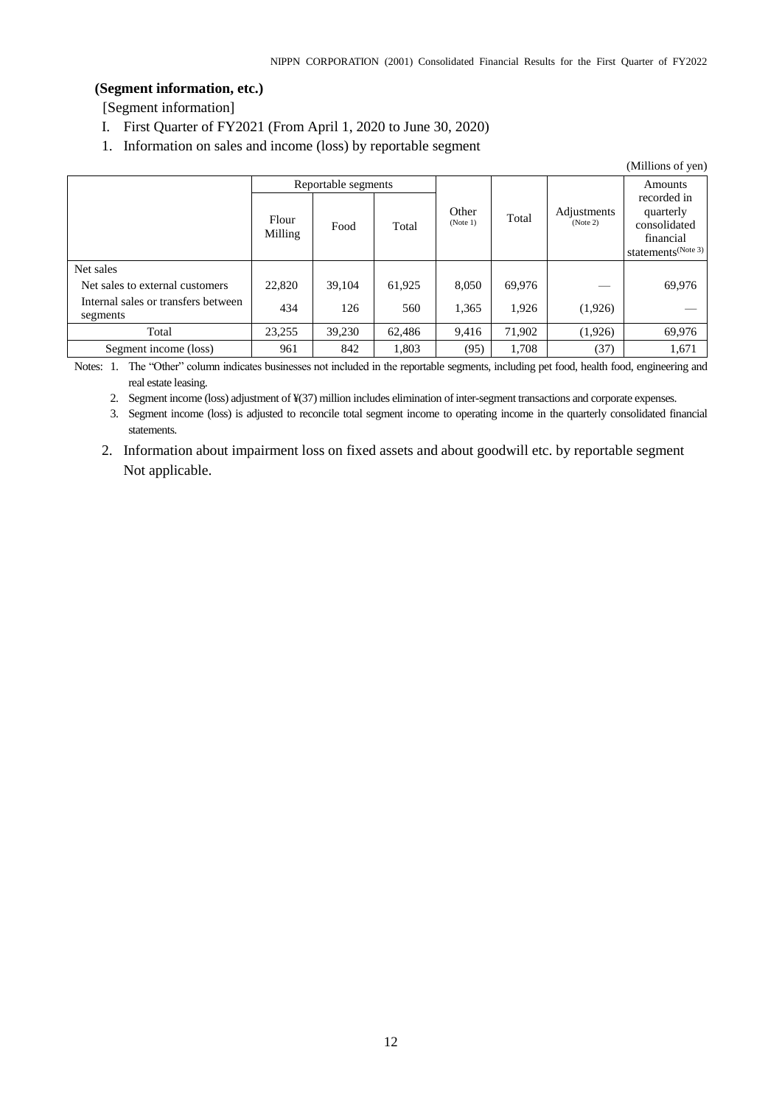## <span id="page-13-0"></span>**(Segment information, etc.)**

[Segment information]

- I. First Quarter of FY2021 (From April 1, 2020 to June 30, 2020)
- 1. Information on sales and income (loss) by reportable segment

|                                                                                                 |                  |                             |               |                   |                 |                         | (Millions of yen)                                                                                  |
|-------------------------------------------------------------------------------------------------|------------------|-----------------------------|---------------|-------------------|-----------------|-------------------------|----------------------------------------------------------------------------------------------------|
|                                                                                                 | Flour<br>Milling | Reportable segments<br>Food | Total         | Other<br>(Note 1) | Total           | Adjustments<br>(Note 2) | Amounts<br>recorded in<br>quarterly<br>consolidated<br>financial<br>statements <sup>(Note 3)</sup> |
| Net sales<br>Net sales to external customers<br>Internal sales or transfers between<br>segments | 22,820<br>434    | 39.104<br>126               | 61.925<br>560 | 8.050<br>1,365    | 69.976<br>1.926 | (1,926)                 | 69,976                                                                                             |
| Total                                                                                           | 23.255           | 39.230                      | 62.486        | 9,416             | 71,902          | (1,926)                 | 69,976                                                                                             |
| Segment income (loss)                                                                           | 961              | 842                         | 1.803         | (95)              | 1,708           | (37)                    | 1,671                                                                                              |

Notes: 1. The "Other" column indicates businesses not included in the reportable segments, including pet food, health food, engineering and real estate leasing.

2. Segment income (loss) adjustment of ¥(37) million includes elimination of inter-segment transactions and corporate expenses.

3. Segment income (loss) is adjusted to reconcile total segment income to operating income in the quarterly consolidated financial statements.

2. Information about impairment loss on fixed assets and about goodwill etc. by reportable segment Not applicable.